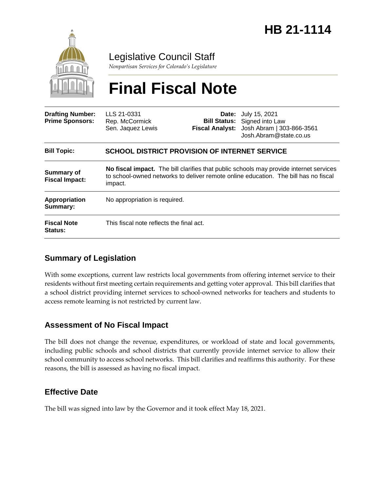

Legislative Council Staff

*Nonpartisan Services for Colorado's Legislature*

# **Final Fiscal Note**

| <b>Drafting Number:</b><br><b>Prime Sponsors:</b> | LLS 21-0331<br>Rep. McCormick<br>Sen. Jaquez Lewis                                                                                                                                       |  | <b>Date:</b> July 15, 2021<br><b>Bill Status:</b> Signed into Law<br>Fiscal Analyst: Josh Abram   303-866-3561<br>Josh.Abram@state.co.us |
|---------------------------------------------------|------------------------------------------------------------------------------------------------------------------------------------------------------------------------------------------|--|------------------------------------------------------------------------------------------------------------------------------------------|
| <b>Bill Topic:</b>                                | SCHOOL DISTRICT PROVISION OF INTERNET SERVICE                                                                                                                                            |  |                                                                                                                                          |
| <b>Summary of</b><br><b>Fiscal Impact:</b>        | No fiscal impact. The bill clarifies that public schools may provide internet services<br>to school-owned networks to deliver remote online education. The bill has no fiscal<br>impact. |  |                                                                                                                                          |
| Appropriation<br>Summary:                         | No appropriation is required.                                                                                                                                                            |  |                                                                                                                                          |
| <b>Fiscal Note</b><br>Status:                     | This fiscal note reflects the final act.                                                                                                                                                 |  |                                                                                                                                          |

## **Summary of Legislation**

With some exceptions, current law restricts local governments from offering internet service to their residents without first meeting certain requirements and getting voter approval. This bill clarifies that a school district providing internet services to school-owned networks for teachers and students to access remote learning is not restricted by current law.

## **Assessment of No Fiscal Impact**

The bill does not change the revenue, expenditures, or workload of state and local governments, including public schools and school districts that currently provide internet service to allow their school community to access school networks. This bill clarifies and reaffirms this authority. For these reasons, the bill is assessed as having no fiscal impact.

# **Effective Date**

The bill was signed into law by the Governor and it took effect May 18, 2021.